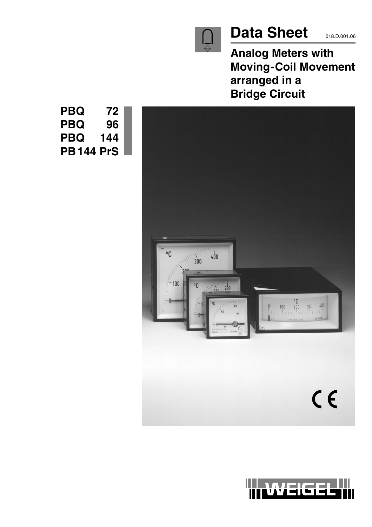

# Data Sheet **018.D.001.06**

**Analog Meters with Moving-Coil Movement arranged in a Bridge Circuit**



**PBQ 72 PBQ 96 PBQ 144 PB144 PrS**

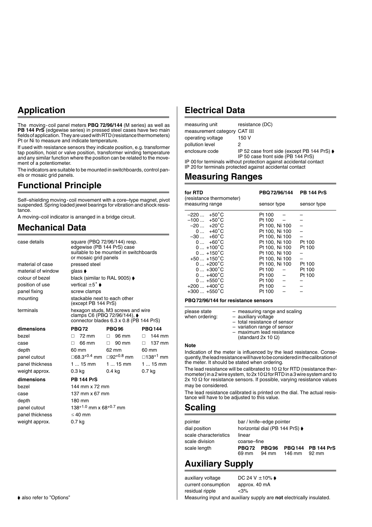## **Application**

The moving-coil panel meters **PBQ 72/96/144** (M series) as well as **PB 144 PrS** (edgewise series) in pressed steel cases have two main fields of application. They are used with RTD (resistance thermometers) Pt or Ni to measure and indicate temperature.

If used with resistance sensors they indicate position, e.g. transformer tap position, hoist or valve position, transformer winding temperature and any similar function where the position can be related to the movement of a potentiometer.

The indicators are suitable to be mounted in switchboards, control panels or mosaic grid panels.

## **Functional Principle**

Self–shielding moving-coil movement with a core–type magnet, pivot suspended. Spring loaded jewel bearings for vibration and shock resistance.

A moving–coil indicator is arranged in a bridge circuit.

## **Mechanical Data**

| case details       | square (PBQ 72/96/144) resp.<br>edgewise (PB 144 PrS) case<br>suitable to be mounted in switchboards<br>or mosaic grid panels |              |                             |
|--------------------|-------------------------------------------------------------------------------------------------------------------------------|--------------|-----------------------------|
| material of case   | pressed steel                                                                                                                 |              |                             |
| material of window | qlass <b>▶</b>                                                                                                                |              |                             |
| colour of bezel    | black (similar to RAL 9005) ♦                                                                                                 |              |                             |
| position of use    | vertical $±5^\circ$ $\blacktriangleright$                                                                                     |              |                             |
| panel fixing       | screw clamps                                                                                                                  |              |                             |
| mounting           | stackable next to each other<br>(except PB 144 PrS)                                                                           |              |                             |
| terminals          | hexagon studs, M3 screws and wire<br>clamps C6 (PBQ 72/96/144), ♦<br>connector blades 6.3 x 0.8 (PB 144 PrS)                  |              |                             |
| dimensions         | <b>PBQ72</b>                                                                                                                  | <b>PBQ96</b> | <b>PBQ144</b>               |
| hezel              | 72 mm<br>П.                                                                                                                   | $\Box$ 96 mm | $\Box$ 144 mm               |
| case               | 66 mm<br>П.                                                                                                                   | 90 mm<br>П.  | 137 mm<br>П.                |
| depth              | 60 mm                                                                                                                         | 62 mm        | 60 mm                       |
| panel cutout       | □68.3 <sup>+0.4</sup> mm □92 <sup>+0.8</sup> mm                                                                               |              | $\Box$ 138 <sup>+1</sup> mm |
| panel thickness    | 1  15 mm                                                                                                                      | 1  15 mm     | 1  15 mm                    |
| weight approx.     | 0.3 kg                                                                                                                        | $0.4$ kg     | 0.7 <sub>kg</sub>           |
| dimensions         | <b>PB 144 PrS</b>                                                                                                             |              |                             |
| bezel              | 144 mm x 72 mm                                                                                                                |              |                             |
| case               | 137 mm $\times$ 67 mm                                                                                                         |              |                             |
| depth              | 180 mm                                                                                                                        |              |                             |
| panel cutout       | $138^{+1.0}$ mm x 68 <sup>+0.7</sup> mm                                                                                       |              |                             |
| panel thickness    | $\leq 40$ mm                                                                                                                  |              |                             |
| weight approx.     | 0.7 kg                                                                                                                        |              |                             |

## **Electrical Data**

| measuring unit                                                                                                                | resistance (DC)                                                                   |  |
|-------------------------------------------------------------------------------------------------------------------------------|-----------------------------------------------------------------------------------|--|
| measurement category CAT III                                                                                                  |                                                                                   |  |
| operating voltage                                                                                                             | 150 V                                                                             |  |
| pollution level                                                                                                               | 2                                                                                 |  |
| enclosure code                                                                                                                | IP 52 case front side (except PB 144 PrS) ♦<br>IP 50 case front side (PB 144 PrS) |  |
| IP 00 for terminals without protection against accidental contact<br>IP 20 for terminals protected against accidental contact |                                                                                   |  |

## **Measuring Ranges**

| for RTD<br>(resistance thermometer) | PBQ 72/96/144  | <b>PB 144 PrS</b> |
|-------------------------------------|----------------|-------------------|
| measuring range                     | sensor type    | sensor type       |
| $-220 +50^{\circ}C$                 | Pt 100         |                   |
| $-100$ +50 $^{\circ}$ C             | Pt 100         |                   |
| $-20 +20^{\circ}C$                  | Pt 100. Ni 100 |                   |
| $0 +40^{\circ}C$                    | Pt 100. Ni 100 |                   |
| $-30 +60^{\circ}C$                  | Pt 100. Ni 100 |                   |
| $0+60^{\circ}$ C                    | Pt 100, Ni 100 | Pt 100            |
| $0+100^{\circ}C$                    | Pt 100. Ni 100 | Pt 100            |
| $0+150^{\circ}C$                    | Pt 100, Ni 100 |                   |
| $+50+150^{\circ}C$                  | Pt 100. Ni 100 |                   |
| $0+200^{\circ}C$                    | Pt 100. Ni 100 | Pt 100            |
| $0+300^{\circ}C$                    | Pt 100         | Pt 100            |
| $0+400^{\circ}C$                    | Pt 100         | Pt 100            |
| $0+550^{\circ}$ C                   | Pt 100         |                   |
| $+200+400^{\circ}C$                 | Pt 100         |                   |
| $+300+550^{\circ}C$                 | Pt 100         |                   |

#### **PBQ72/96/144 for resistance sensors**

| please state<br>when ordering: | - measuring range and scaling<br>- auxiliary voltage<br>- total resistance of sensor<br>- variation range of sensor |
|--------------------------------|---------------------------------------------------------------------------------------------------------------------|
|                                | - maximum lead resistance<br>(standard 2x 10 $\Omega$ )                                                             |

#### **Note**

Indication of the meter is influenced by the lead resistance. Consequently, the lead resistance will have to be considered in the calibration of the meter. It should be stated when ordering.

The lead resistance will be calibrated to 10  $\Omega$  for RTD (resistance thermometer) in a 2 wire system, to  $2x 10 \Omega$  for RTD in a 3 wire system and to  $2x$  10  $\Omega$  for resistance sensors. If possible, varying resistance values may be considered.

The lead resistance calibrated is printed on the dial. The actual resistance will have to be adjusted to this value.

## **Scaling**

| pointer               | bar / knife-edge pointer       |       |        |                            |
|-----------------------|--------------------------------|-------|--------|----------------------------|
| dial position         | horizontal dial (PB 144 PrS) ♦ |       |        |                            |
| scale characteristics | linear                         |       |        |                            |
| scale division        | coarse-fine                    |       |        |                            |
| scale length          | <b>PBQ72 PBQ96</b><br>69 mm    | 94 mm | 146 mm | PBQ144 PB 144 PrS<br>92 mm |

## **Auxiliary Supply**

auxiliary voltage DC 24 V  $\pm$ 10%  $\bullet$ 

current consumption approx. 40 mA residual ripple <3%

Measuring input and auxiliary supply are **not** electrically insulated.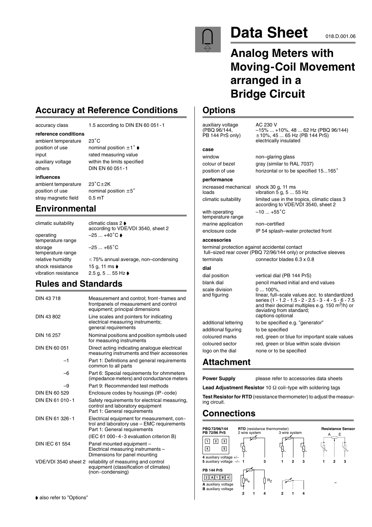

# **Data Sheet** 018.D.001.06

# **Analog Meters with Moving-Coil Movement arranged in a Bridge Circuit**

according to VDE/VDI 3540, sheet 2

## **Options**

auxiliary voltage  $AC 230 V$ <br>(PBQ 96/144.  $-15\% ...$ (PBQ 96/144, –15% ... +10%, 48 ... 62 Hz (PBQ 96/144) PB 144 PrS only) 10%, 45 ... 65 Hz (PB 144 PrS) electrically insulated window non–glaring glass colour of bezel gray (similar to RAL 7037)

position of use horizontal or to be specified 15...165°

### **performance**

**case**

increased mechanical shock 30 g, 11 ms loads vibration 5 g, 5 ... 55 Hz climatic suitability limited use in the tropics, climatic class 3

with operating temperature range marine application non–certified

enclosure code IP 54 splash–water protected front

#### **accessories**

terminal protection against accidental contact full–sized rear cover (PBQ 72/96/144 only) or protective sleeves terminals connector blades 6.3 x 0.8

 $-10...+55^{\circ}C$ 

#### dia

| dial                           |                                                                                                                                                                                                                                           |
|--------------------------------|-------------------------------------------------------------------------------------------------------------------------------------------------------------------------------------------------------------------------------------------|
| dial position                  | vertical dial (PB 144 PrS)                                                                                                                                                                                                                |
| blank dial                     | pencil marked initial and end values                                                                                                                                                                                                      |
| scale division<br>and figuring | $0100\%$ .<br>linear, full-scale values acc. to standardized<br>series (1 - 1.2 - 1.5 - 2 - 2.5 - 3 - 4 - 5 - 6 - 7.5<br>and their decimal multiples e.g. 150 $\text{m}^3/\text{h}$ ) or<br>deviating from standard;<br>captions optional |
| additional lettering           | to be specified e.g. "generator"                                                                                                                                                                                                          |
| additional figuring            | to be specified                                                                                                                                                                                                                           |
| coloured marks                 | red, green or blue for important scale values                                                                                                                                                                                             |
| coloured sector                | red, green or blue within scale division                                                                                                                                                                                                  |
| logo on the dial               | none or to be specified                                                                                                                                                                                                                   |

## **Attachment**

**Power Supply** please refer to accessories data sheets

**Lead Adjustment Resistor** 10  $\Omega$  coil–type with soldering tags

**Test Resistor for RTD** (resistance thermometer) to adjust the measuring circuit.

## **Connections**



## **Accuracy at Reference Conditions**

 $23^{\circ}$ C

#### accuracy class 1.5 according to DIN EN 60 051-1

**reference conditions**

ambient temperature position of use nominal position  $\pm 1^{\circ}$ 

input rated measuring value auxiliary voltage within the limits specified others DIN EN 60 051-1

#### **influences**

ambient temperature position of use **nominal position**  $\pm 5^{\circ}$ stray magnetic field 0.5 mT

**Environmental**

climatic suitability climatic class 2 operating  $-25 ... +40^{\circ} \text{C}$ temperature range storage  $-25...+65^{\circ}$ C temperature range shock resistance 15 g, 11 ms  $\bullet$ 

according to VDE/VDI 3540, sheet 2

 $23^{\circ}$ C $\pm$ 2K

relative humidity  $\leq 75\%$  annual average, non–condensing vibration resistance 2.5 g, 5 ... 55 Hz  $\bullet$ 

## **Rules and Standards**

| DIN 43718             | Measurement and control; front-frames and<br>frontpanels of measurement and control<br>equipment; principal dimensions   |
|-----------------------|--------------------------------------------------------------------------------------------------------------------------|
| DIN 43 802            | Line scales and pointers for indicating<br>electrical measuring instruments;<br>general requirements                     |
| DIN 16 257            | Nominal positions and position symbols used<br>for measuring instruments                                                 |
| DIN FN 60 051         | Direct acting indicating analogue electrical<br>measuring instruments and their accessories                              |
| -1                    | Part 1: Definitions and general requirements<br>common to all parts                                                      |
| -6                    | Part 6: Special requirements for ohmmeters<br>(impedance meters) and conductance meters                                  |
| -9                    | Part 9: Recommended test methods                                                                                         |
| DIN EN 60 529         | Enclosure codes by housings (IP-code)                                                                                    |
| DIN EN 61 010-1       | Safety requirements for electrical measuring,<br>control and laboratory equipment<br>Part 1: General requirements        |
| DIN EN 61 326-1       | Electrical equipment for measurement, con-<br>trol and laboratory use - EMC requirements<br>Part 1: General requirements |
|                       | (IEC 61 000 - 4 - 3 evaluation criterion B)                                                                              |
| <b>DIN IEC 61 554</b> | Panel mounted equipment -<br>Electrical measuring instruments -<br>Dimensions for panel mounting                         |
| VDE/VDI 3540 sheet 2  | reliability of measuring and control<br>equipment (classification of climates)<br>(non-condensing)                       |